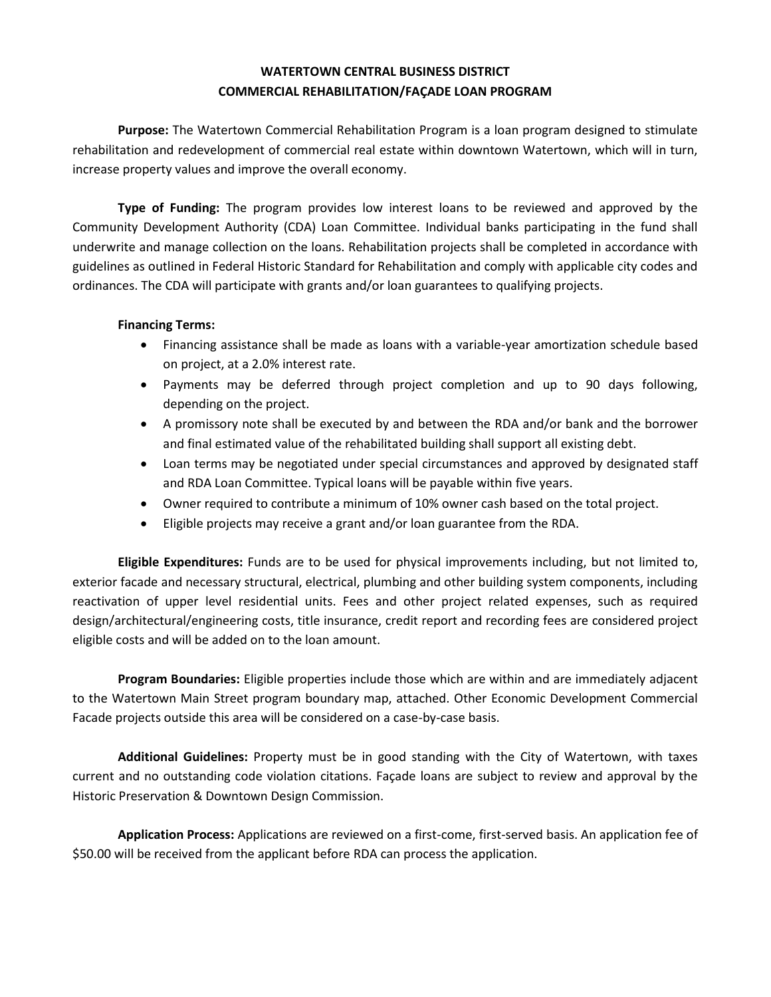## **WATERTOWN CENTRAL BUSINESS DISTRICT COMMERCIAL REHABILITATION/FAÇADE LOAN PROGRAM**

**Purpose:** The Watertown Commercial Rehabilitation Program is a loan program designed to stimulate rehabilitation and redevelopment of commercial real estate within downtown Watertown, which will in turn, increase property values and improve the overall economy.

**Type of Funding:** The program provides low interest loans to be reviewed and approved by the Community Development Authority (CDA) Loan Committee. Individual banks participating in the fund shall underwrite and manage collection on the loans. Rehabilitation projects shall be completed in accordance with guidelines as outlined in Federal Historic Standard for Rehabilitation and comply with applicable city codes and ordinances. The CDA will participate with grants and/or loan guarantees to qualifying projects.

## **Financing Terms:**

- Financing assistance shall be made as loans with a variable-year amortization schedule based on project, at a 2.0% interest rate.
- Payments may be deferred through project completion and up to 90 days following, depending on the project.
- A promissory note shall be executed by and between the RDA and/or bank and the borrower and final estimated value of the rehabilitated building shall support all existing debt.
- Loan terms may be negotiated under special circumstances and approved by designated staff and RDA Loan Committee. Typical loans will be payable within five years.
- Owner required to contribute a minimum of 10% owner cash based on the total project.
- Eligible projects may receive a grant and/or loan guarantee from the RDA.

**Eligible Expenditures:** Funds are to be used for physical improvements including, but not limited to, exterior facade and necessary structural, electrical, plumbing and other building system components, including reactivation of upper level residential units. Fees and other project related expenses, such as required design/architectural/engineering costs, title insurance, credit report and recording fees are considered project eligible costs and will be added on to the loan amount.

**Program Boundaries:** Eligible properties include those which are within and are immediately adjacent to the Watertown Main Street program boundary map, attached. Other Economic Development Commercial Facade projects outside this area will be considered on a case-by-case basis.

**Additional Guidelines:** Property must be in good standing with the City of Watertown, with taxes current and no outstanding code violation citations. Façade loans are subject to review and approval by the Historic Preservation & Downtown Design Commission.

**Application Process:** Applications are reviewed on a first-come, first-served basis. An application fee of \$50.00 will be received from the applicant before RDA can process the application.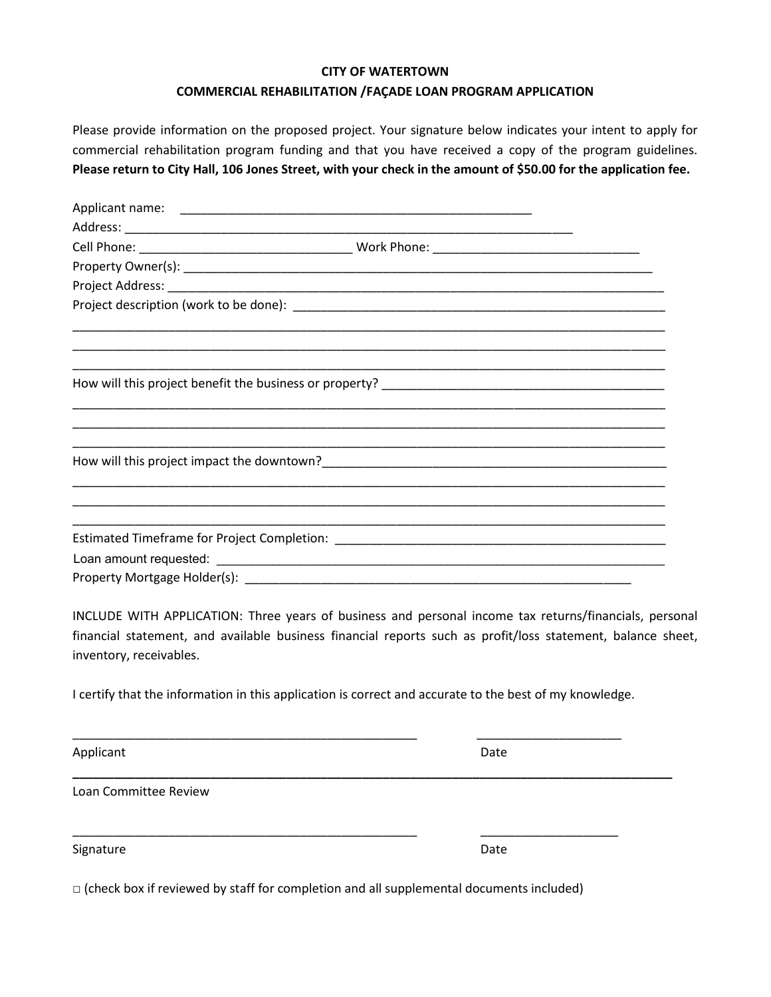## **CITY OF WATERTOWN**

## **COMMERCIAL REHABILITATION /FAÇADE LOAN PROGRAM APPLICATION**

Please provide information on the proposed project. Your signature below indicates your intent to apply for commercial rehabilitation program funding and that you have received a copy of the program guidelines. **Please return to City Hall, 106 Jones Street, with your check in the amount of \$50.00 for the application fee.** 

INCLUDE WITH APPLICATION: Three years of business and personal income tax returns/financials, personal financial statement, and available business financial reports such as profit/loss statement, balance sheet, inventory, receivables.

I certify that the information in this application is correct and accurate to the best of my knowledge.

\_\_\_\_\_\_\_\_\_\_\_\_\_\_\_\_\_\_\_\_\_\_\_\_\_\_\_\_\_\_\_\_\_\_\_\_\_\_\_\_\_\_\_\_\_\_\_\_\_\_ \_\_\_\_\_\_\_\_\_\_\_\_\_\_\_\_\_\_\_\_\_

**\_\_\_\_\_\_\_\_\_\_\_\_\_\_\_\_\_\_\_\_\_\_\_\_\_\_\_\_\_\_\_\_\_\_\_\_\_\_\_\_\_\_\_\_\_\_\_\_\_\_\_\_\_\_\_\_\_\_\_\_\_\_\_\_\_\_\_\_\_\_\_\_\_\_\_\_\_\_\_\_\_\_\_\_\_\_\_** 

Applicant Date **Date** 

Loan Committee Review

Signature Date

 $\square$  (check box if reviewed by staff for completion and all supplemental documents included)

\_\_\_\_\_\_\_\_\_\_\_\_\_\_\_\_\_\_\_\_\_\_\_\_\_\_\_\_\_\_\_\_\_\_\_\_\_\_\_\_\_\_\_\_\_\_\_\_\_\_ \_\_\_\_\_\_\_\_\_\_\_\_\_\_\_\_\_\_\_\_